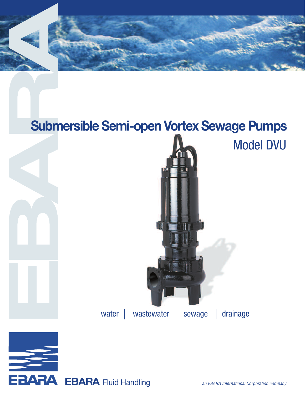

## **Submersible Semi-open Vortex Sewage Pumps**



EBARA Fluid Handling an EBARA International Corporation company